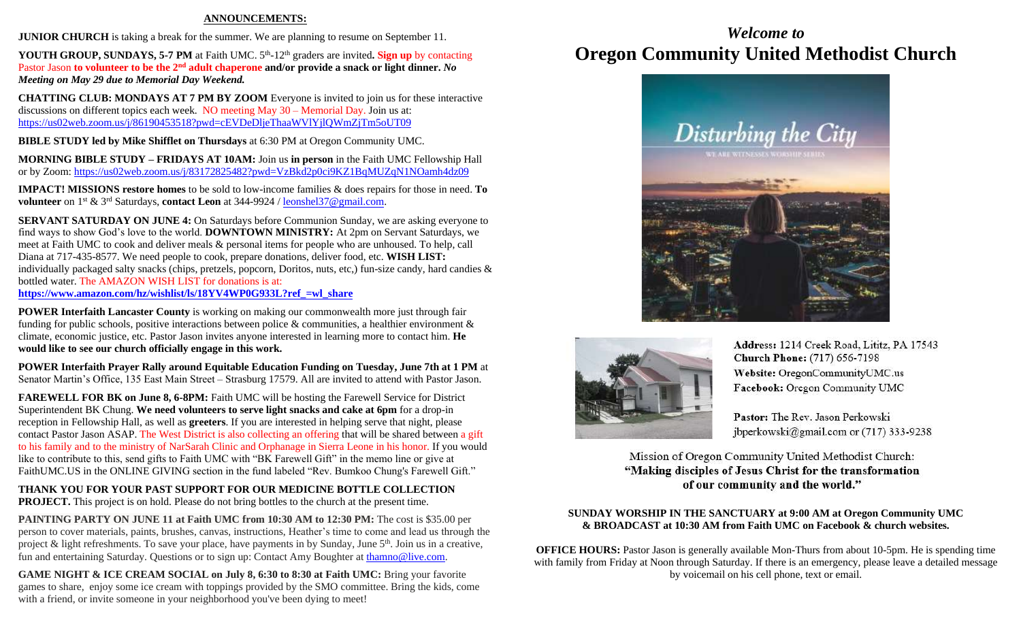### **ANNOUNCEMENTS:**

**JUNIOR CHURCH** is taking a break for the summer. We are planning to resume on September 11.

YOUTH GROUP, SUNDAYS, 5-7 PM at Faith UMC. 5<sup>th</sup>-12<sup>th</sup> graders are invited. Sign up by contacting Pastor Jason **to volunteer to be the 2nd adult chaperone and/or provide a snack or light dinner.** *No Meeting on May 29 due to Memorial Day Weekend.*

**CHATTING CLUB: MONDAYS AT 7 PM BY ZOOM** Everyone is invited to join us for these interactive discussions on different topics each week. NO meeting May 30 – Memorial Day. Join us at: <https://us02web.zoom.us/j/86190453518?pwd=cEVDeDljeThaaWVlYjlQWmZjTm5oUT09>

**BIBLE STUDY led by Mike Shifflet on Thursdays** at 6:30 PM at Oregon Community UMC.

**MORNING BIBLE STUDY – FRIDAYS AT 10AM:** Join us **in person** in the Faith UMC Fellowship Hall or by Zoom:<https://us02web.zoom.us/j/83172825482?pwd=VzBkd2p0ci9KZ1BqMUZqN1NOamh4dz09>

**IMPACT! MISSIONS restore homes** to be sold to low-income families & does repairs for those in need. **To volunteer** on 1st & 3rd Saturdays, **contact Leon** at 344-9924 / [leonshel37@gmail.com.](about:blank)

**SERVANT SATURDAY ON JUNE 4:** On Saturdays before Communion Sunday, we are asking everyone to find ways to show God's love to the world. **DOWNTOWN MINISTRY:** At 2pm on Servant Saturdays, we meet at Faith UMC to cook and deliver meals & personal items for people who are unhoused. To help, call Diana at 717-435-8577. We need people to cook, prepare donations, deliver food, etc. **WISH LIST:**  individually packaged salty snacks (chips, pretzels, popcorn, Doritos, nuts, etc,) fun-size candy, hard candies & bottled water. The AMAZON WISH LIST for donations is at: **[https://www.amazon.com/hz/wishlist/ls/18YV4WP0G933L?ref\\_=wl\\_share](https://www.amazon.com/hz/wishlist/ls/18YV4WP0G933L?ref_=wl_share)**

**POWER Interfaith Lancaster County** is working on making our commonwealth more just through fair funding for public schools, positive interactions between police & communities, a healthier environment & climate, economic justice, etc. Pastor Jason invites anyone interested in learning more to contact him. **He would like to see our church officially engage in this work.**

**POWER Interfaith Prayer Rally around Equitable Education Funding on Tuesday, June 7th at 1 PM** at Senator Martin's Office, 135 East Main Street – Strasburg 17579. All are invited to attend with Pastor Jason.

**FAREWELL FOR BK on June 8, 6-8PM:** Faith UMC will be hosting the Farewell Service for District Superintendent BK Chung. **We need volunteers to serve light snacks and cake at 6pm** for a drop-in reception in Fellowship Hall, as well as **greeters**. If you are interested in helping serve that night, please contact Pastor Jason ASAP. The West District is also collecting an offering that will be shared between a gift to his family and to the ministry of NarSarah Clinic and Orphanage in Sierra Leone in his honor. If you would like to contribute to this, send gifts to Faith UMC with "BK Farewell Gift" in the memo line or give at FaithUMC.US in the ONLINE GIVING section in the fund labeled "Rev. Bumkoo Chung's Farewell Gift."

**THANK YOU FOR YOUR PAST SUPPORT FOR OUR MEDICINE BOTTLE COLLECTION PROJECT.** This project is on hold. Please do not bring bottles to the church at the present time.

**PAINTING PARTY ON JUNE 11 at Faith UMC from 10:30 AM to 12:30 PM:** The cost is \$35.00 per person to cover materials, paints, brushes, canvas, instructions, Heather's time to come and lead us through the project & light refreshments. To save your place, have payments in by Sunday, June 5<sup>th</sup>. Join us in a creative, fun and entertaining Saturday. Questions or to sign up: Contact Amy Boughter a[t thamno@live.com.](mailto:thamno@live.com)

**GAME NIGHT & ICE CREAM SOCIAL on July 8, 6:30 to 8:30 at Faith UMC:** Bring your favorite games to share, enjoy some ice cream with toppings provided by the SMO committee. Bring the kids, come with a friend, or invite someone in your neighborhood you've been dying to meet!

# *Welcome to* **Oregon Community United Methodist Church**





Address: 1214 Creek Road, Lititz, PA 17543 **Church Phone:** (717) 656-7198 Website: OregonCommunityUMC.us Facebook: Oregon Community UMC

Pastor: The Rev. Jason Perkowski jbperkowski@gmail.com or (717) 333-9238

Mission of Oregon Community United Methodist Church: "Making disciples of Jesus Christ for the transformation of our community and the world."

### **SUNDAY WORSHIP IN THE SANCTUARY at 9:00 AM at Oregon Community UMC & BROADCAST at 10:30 AM from Faith UMC on Facebook & church websites.**

**OFFICE HOURS:** Pastor Jason is generally available Mon-Thurs from about 10-5pm. He is spending time with family from Friday at Noon through Saturday. If there is an emergency, please leave a detailed message by voicemail on his cell phone, text or email.